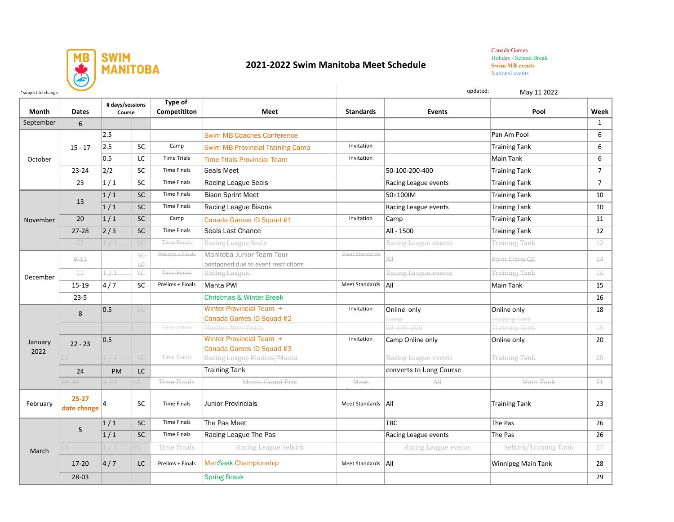

## **2021-2022 Swim Manitoba Meet Schedule**

Canada Games Holiday / School Break **Swim MB events**  National events

| *subject to change |                          |                           |                                                                  |                                |                                                                  | updated:<br>May 11 2022 |                         |                           |                |  |
|--------------------|--------------------------|---------------------------|------------------------------------------------------------------|--------------------------------|------------------------------------------------------------------|-------------------------|-------------------------|---------------------------|----------------|--|
| Month              | <b>Dates</b>             | # days/sessions<br>Course |                                                                  | <b>Type of</b><br>Competititon | <b>Meet</b>                                                      | <b>Standards</b>        | Events                  | Pool                      | Week           |  |
| September          | 6                        |                           |                                                                  |                                |                                                                  |                         |                         |                           | $\mathbf{1}$   |  |
| October            | $15 - 17$                | 2.5                       |                                                                  |                                | <b>Swim MB Coaches Conference</b>                                |                         |                         | Pan Am Pool               | 6              |  |
|                    |                          | 2.5                       | SC                                                               | Camp                           | <b>Swim MB Provincial Training Camp</b>                          | Invitation              |                         | <b>Training Tank</b>      | 6              |  |
|                    |                          | 0.5                       | <b>LC</b>                                                        | <b>Time Trials</b>             | <b>Time Trials Provincial Team</b>                               | Invitation              |                         | Main Tank                 | 6              |  |
|                    | $23 - 24$                | 2/2                       | SC                                                               | <b>Time Finals</b>             | Seals Meet                                                       |                         | 50-100-200-400          | <b>Training Tank</b>      | $\overline{7}$ |  |
|                    | 23                       | $\left 1\right $ 1        | SC                                                               | <b>Time Finals</b>             | <b>Racing League Seals</b>                                       |                         | Racing League events    | <b>Training Tank</b>      | $\overline{7}$ |  |
| November           | 13                       | $\overline{1/1}$          | SC                                                               | <b>Time Finals</b>             | <b>Bison Sprint Meet</b>                                         |                         | 50+100IM                | <b>Training Tank</b>      | 10             |  |
|                    |                          | 1/1                       | <b>SC</b>                                                        | Time Finals                    | Racing League Bisons                                             |                         | Racing League events    | <b>Training Tank</b>      | 10             |  |
|                    | 20                       | 1/1                       | <b>SC</b>                                                        | Camp                           | Canada Games ID Squad #1                                         | Invitation              | Camp                    | <b>Training Tank</b>      | 11             |  |
|                    | $27 - 28$                | $\left 2\right/3\right $  | <b>SC</b>                                                        | <b>Time Finals</b>             | Seals Last Chance                                                |                         | All - 1500              | <b>Training Tank</b>      | 12             |  |
|                    | 27                       | 1/1                       | SC                                                               | Time Finals                    | Racing League Seals                                              |                         | Racing League events    | <b>Training Tank</b>      | $rac{12}{12}$  |  |
| December           | $9 - 12$                 |                           | <b>SC</b>                                                        | Prelims + Finals               | Manitoba Junior Team Tour<br>postponed due to event restrictions | Meet Standards          | All                     | Point Claire OC           | 14             |  |
|                    | $\pm$                    | 1/1                       | $\mathrel{\mathop{\rule{.15pt}{.15pt}\scriptstyle\smile}}$<br>SC | <b>Time Finals</b>             | Racing League                                                    |                         | Racing League events    | <b>Training Tank</b>      | 14             |  |
|                    | 15-19                    | 4/7                       | <b>SC</b>                                                        | Prelims + Finals               | Manta PWI                                                        | Meet Standards   All    |                         | Main Tank                 | 15             |  |
|                    | $23 - 5$                 |                           |                                                                  |                                | <b>Christmas &amp; Winter Break</b>                              |                         |                         |                           | 16             |  |
| January<br>2022    |                          | 0.5                       | <b>SG</b>                                                        |                                | Winter Provincial Team +                                         | Invitation              | Online only             | Online only               | 18             |  |
|                    | 8                        |                           |                                                                  |                                | Canada Games ID Squad #2                                         |                         | <u>Gamp</u>             | <b>Training Tank</b>      |                |  |
|                    |                          |                           |                                                                  | <b>Time Finals</b>             | Marlins New Years                                                |                         | 50-100-200              | <b>Training Tank</b>      | $19 -$         |  |
|                    | $22 - 23$                | 0.5                       |                                                                  |                                | Winter Provincial Team +<br>Canada Games ID Squad #3             | Invitation              | Camp Online only        | Online only               | 20             |  |
|                    |                          | 1/1                       | SC                                                               | <b>Time Finals</b>             | Racing League Marlins/Manta                                      |                         | Racing League events    | <b>Training Tank</b>      | $20 -$         |  |
|                    | 24                       | <b>PM</b>                 | <b>LC</b>                                                        |                                | <b>Training Tank</b>                                             |                         | converts to Long Course |                           |                |  |
|                    | $28 - 30$                | 3/4                       | LG                                                               | Time Finals                    | Manta Grand Prix                                                 | Meet                    | $\overline{A\parallel}$ | Main Tank                 | 21             |  |
| February           | $25 - 27$<br>date change |                           | SC                                                               | <b>Time Finals</b>             | <b>Junior Provincials</b>                                        | Meet Standards   All    |                         | <b>Training Tank</b>      | 23             |  |
| March              | 5                        | 1/1                       | <b>SC</b>                                                        | <b>Time Finals</b>             | The Pas Meet                                                     |                         | <b>TBC</b>              | The Pas                   | 26             |  |
|                    |                          | 1/1                       | <b>SC</b>                                                        | <b>Time Finals</b>             | Racing League The Pas                                            |                         | Racing League events    | The Pas                   | 26             |  |
|                    |                          | 1/1                       | <b>SG</b>                                                        | Time Finals                    | Racing League Selkirk                                            |                         | Racing League events    | Selkirk/Training Tank     | 27             |  |
|                    | $17 - 20$                | 4/7                       | LC                                                               | Prelims + Finals               | <b>ManSask Championship</b>                                      | Meet Standards   All    |                         | <b>Winnipeg Main Tank</b> | 28             |  |
|                    | 28-03                    |                           |                                                                  |                                | <b>Spring Break</b>                                              |                         |                         |                           | 29             |  |